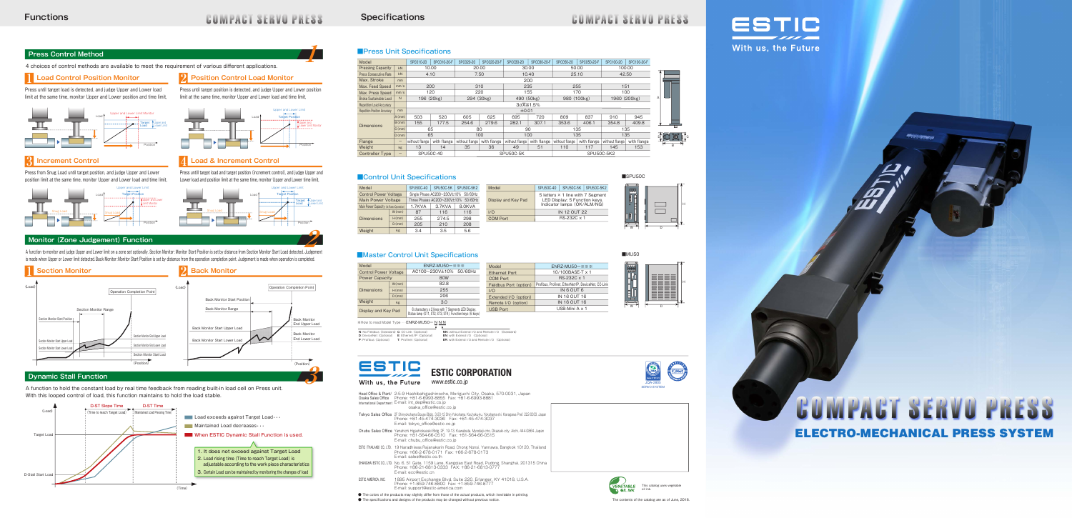# **COMPACT SERVO PRESS**

**1**

# **COMPACT SERVO PRESS**

#### **Specifications**

#### **Press Control Method**

A function to monitor and judge Upper and Lower limit on a zone set optionally. Section Monitor :Monitor Start Position is set by distance from Section Monitor Start Load detected. Judgement is made when Upper or Lower limit detected. Back Monitor: Monitor Start Position is set by distance from the operation completion point. Judgement is made when operation is completed.

4 choices of control methods are available to meet the requirement of various different applications.

#### **Load Control Position Monitor**

A function to hold the constant load by real time feedback from reading built-in load cell on Press unit. With this looped control of load, this function maintains to hold the load stable.



Head Office & Plant/ Osaka Sales Office International Department 2-5-9 Hashibahigashinocho, Moriguchi City, Osaka, 570-0031, Japan<br>Phone: +81-6-6993-8855 Fax: +81-6-6993-8881<br>E-mail: int\_dep@estic.co.jp osaka\_office@estic.co.jp

- Tokyo Sales Office 2F Shinyokohama Bousei Bldg., 3-20-12 Shin-Yokohama, Kouhoku-ku, Yokohama-shi, Kanagawa Pref. 222-0033, Japan Phone: +81-45-474-3036 Fax: +81-45-474-3037 E-mail: tokyo\_office@estic.co.jp
- Chubu Sales Office Yamahichi Higashiokazaki Bldg. 2F, 19-13, Kawabata, Myodaiji-cho, Okazaki-city, Aichi, 444-0864 Japan Phone: +81-564-66-0510 Fax: +81-564-66-0515 E-mail: chubu\_office@estic.co.jp
- ESTIC (THAILAND) CO., LTD. 19 Naradhiwas Rajanakarin Road, Chong Nonsi, Yannawa, Bangkok 10120, Thailand Phone: +66-2-678-0171 Fax: +66-2-678-0173 E-mail: sales@estic.co.th
- SHANGHAI ESTIC CO., LTD. No. 6, 51 Gate, 1159 Lane, Kangqiao East Road, Pudong, Shanghai, 201315 China Phone: +86-21-6813-0333 FAX: +86-21-6813-0777 E-mail: ecc@estic.cn
- ESTIC AMERICA, INC. 1895 Airport Exchange Blvd, Suite 220, Erlanger, KY 41018, U.S.A. Phone: +1-859-746-8800 Fax: +1-859-746-8777 E-mail: support@estic-america.com

# **COMPACT SERVO PRESS** ELECTRO-MECHANICAL PRESS SYSTEM



● The colors of the products may slightly differ from those of the actual products, which inevitable in printing.

● The specifications and designs of the products may be changed without previous notice. The contents of the contents of the catalog are as of June, 2018.





※How to read Model Type…… ENRZ-MU50ー N N N **N**: No Fieldbus (Standard) **C**: CC-Link (Optional) **D**: DeviceNet (Optional) E: Ethernet/IP (Optional) EN: with Extend I/O (Optional)<br>P: Profibus (Optional) T: Profinet (Optional) ER: with Extend I/O and Remote

Press until target load is detected, and judge Upper and Lower load limit at the same time, monitor Upper and Lower position and time limit,



# **Monitor (Zone Judgement) Function**

**NN:** without Extend I/O and Remote I/O (Standard) **ER**: with Extend I/O and Remote I/O (Optional)



■SPU50C 5 letters × 1 line with 7 Segment LED Display; 5 Function keys. Itor lamps (OK/ALM/NG) IN 12 OUT 22 RS-232C x 1 40 | SPU50C-5K | SPU50C-5K2



#### **■Press Unit Specifications**





Press until target position is detected, and judge Upper and Lower position limit at the same time, monitor Upper and Lower load and time limit,

Press from Snug Load until target position, and judge Upper and Lower position limit at the same time, monitor Upper and Lower load and time limit, Press untill target load and target position (increment control), and judge Upper and Lower load and position limit at the same time, monitor Upper and Lower time limit,

#### **1 2 Position Control Load Monitor**

#### **3 Increment Control 4 Load & Increment Control**



H





| Model                               |          | SPC010-20        | SPC010-20-F                              | SPC020-20      | SPC020-20-F | SPC030-20      | SPC030-20-F |  |
|-------------------------------------|----------|------------------|------------------------------------------|----------------|-------------|----------------|-------------|--|
| <b>Pressing Capacity</b>            | kN       | 10.00            |                                          | 20.00          |             | 30.00          |             |  |
| Press Consecutive Rate              | kN       |                  | 4.10                                     | 7.50           |             | 10.40          |             |  |
| Max. Stroke                         | mm       |                  |                                          |                |             | 200            |             |  |
| Max. Feed Speed                     | mm/s     |                  | 200                                      | 310            |             |                | 235         |  |
| Max. Press Speed                    | mm/s     |                  | 120                                      | 220            |             |                | 155         |  |
| <b>Brake Sustainable Load</b>       | N        | 196 (20kg)       |                                          | 294 (30kg)     |             | 490 (50kg)     |             |  |
| <b>Repetition Load Accuracy</b>     |          |                  | $3\sigma\overline{\mathsf{X}}\leq 1.5\%$ |                |             |                |             |  |
| <b>Repetition Position Accuracy</b> | mm       |                  | ±0.01                                    |                |             |                |             |  |
|                                     | $A$ (mm) | 503              | 520                                      | 605            | 625         | 695            | 720         |  |
| <b>Dimensions</b>                   | B(mm)    | 155              | 177.5                                    | 254.6          | 279.6       | 282.1          | 307.1       |  |
|                                     | $C$ (mm) | 65               |                                          | 80             |             | 90             |             |  |
|                                     | D(mm)    | 65               |                                          | 100            |             | 100            |             |  |
| Flange                              | -        | without flange   | with flange                              | without flange | with flange | without flange | with flange |  |
| Weight                              | kg       | 13               | 14                                       | 35             | 36          | 49             | 51          |  |
| <b>Controller Type</b>              | -        | <b>SPU50C-40</b> |                                          | SPU50C-5K      |             |                |             |  |

#### ■ Control Unit Specifications

| Model                                    |       | <b>SPU50C-40</b>                       | SPU50C-5K | <b>SPU50C-5K2</b> |  | <b>Mo</b> |
|------------------------------------------|-------|----------------------------------------|-----------|-------------------|--|-----------|
| <b>Control Power Voltage</b>             |       | Single Phase AC200~230V±10% 50/60Hz    |           |                   |  |           |
| <b>Main Power Voltage</b>                |       | Three Phases AC200~230V±10%<br>50/60Hz |           |                   |  | Disp      |
| Main Power Capacity (At Rated Operation) |       | 1.7KVA                                 | 3.7KVA    | 8.0KVA            |  |           |
|                                          | W(mm) | 87                                     | 116       | 116               |  | 1/O       |
| <b>Dimensions</b>                        | H(mm) | 255                                    | 274.5     | 298               |  | COI       |
|                                          | D(mm) | 205                                    | 210       | 208               |  |           |
| Weight                                   | kg    | 3.4                                    | 3.5       | 5.6               |  |           |

| Model                        |          | ENRZ-MU50-***                                                                                                   | Model                  |        |
|------------------------------|----------|-----------------------------------------------------------------------------------------------------------------|------------------------|--------|
| <b>Control Power Voltage</b> |          | AC100~230V±10% 50/60Hz                                                                                          | <b>Ethernet Port</b>   |        |
| <b>Power Capacity</b>        |          | 80W                                                                                                             | <b>COM Port</b>        |        |
|                              | W(mm)    | 82.8                                                                                                            | Fieldbus Port (option) | Profib |
| <b>Dimensions</b>            | H(mm)    | 255                                                                                                             | 1/O                    |        |
|                              | $D$ (mm) | 206                                                                                                             | Extended I/O (option)  |        |
| Weight                       | kg       | 3.0                                                                                                             | Remote I/O (option)    |        |
| Display and Key Pad          |          | 6 characters x 2 lines with 7 Segments LED Display,<br>Status lamp (ST1, ST2, ST3, ST4), Function keys (6 keys) | <b>USB Port</b>        |        |
|                              |          |                                                                                                                 |                        |        |





H

| Model               | <b>SPU50C-4</b>             |
|---------------------|-----------------------------|
| Display and Key Pad | 5 letter<br>LED D<br>Indica |
| I/O                 |                             |
| <b>COM Port</b>     |                             |
|                     |                             |

#### ■Master Control Unit Specifications



www.estic.co.jp